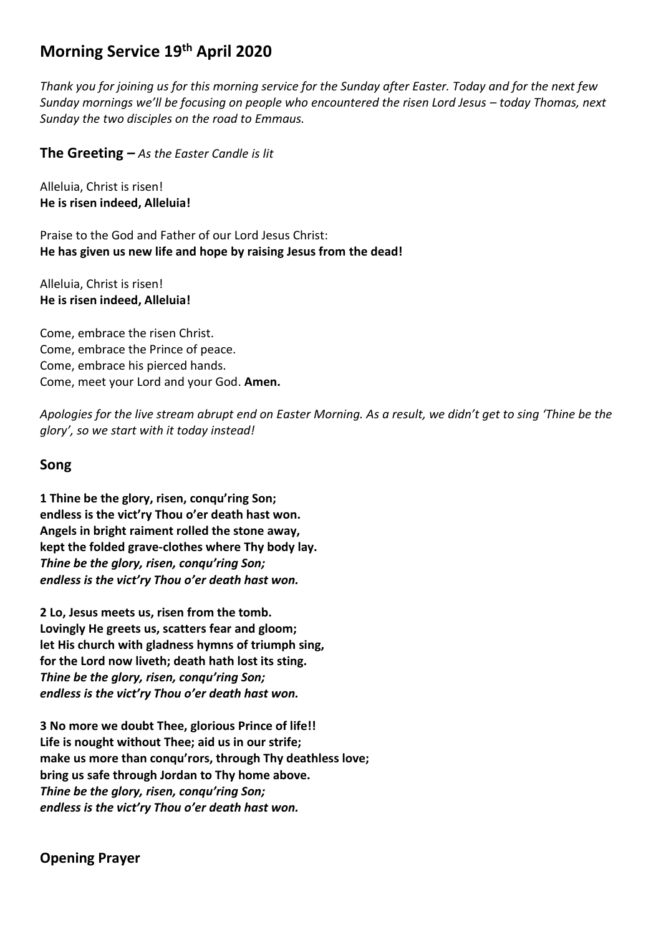# **Morning Service 19th April 2020**

*Thank you for joining us for this morning service for the Sunday after Easter. Today and for the next few Sunday mornings we'll be focusing on people who encountered the risen Lord Jesus – today Thomas, next Sunday the two disciples on the road to Emmaus.*

**The Greeting** *– As the Easter Candle is lit*

Alleluia, Christ is risen! **He is risen indeed, Alleluia!**

Praise to the God and Father of our Lord Jesus Christ: **He has given us new life and hope by raising Jesus from the dead!**

Alleluia, Christ is risen! **He is risen indeed, Alleluia!**

Come, embrace the risen Christ. Come, embrace the Prince of peace. Come, embrace his pierced hands. Come, meet your Lord and your God. **Amen.**

*Apologies for the live stream abrupt end on Easter Morning. As a result, we didn't get to sing 'Thine be the glory', so we start with it today instead!*

#### **Song**

**1 Thine be the glory, risen, conqu'ring Son; endless is the vict'ry Thou o'er death hast won. Angels in bright raiment rolled the stone away, kept the folded grave-clothes where Thy body lay.** *Thine be the glory, risen, conqu'ring Son; endless is the vict'ry Thou o'er death hast won.*

**2 Lo, Jesus meets us, risen from the tomb. Lovingly He greets us, scatters fear and gloom; let His church with gladness hymns of triumph sing, for the Lord now liveth; death hath lost its sting.**  *Thine be the glory, risen, conqu'ring Son; endless is the vict'ry Thou o'er death hast won.*

**3 No more we doubt Thee, glorious Prince of life!! Life is nought without Thee; aid us in our strife; make us more than conqu'rors, through Thy deathless love; bring us safe through Jordan to Thy home above.**  *Thine be the glory, risen, conqu'ring Son; endless is the vict'ry Thou o'er death hast won.*

### **Opening Prayer**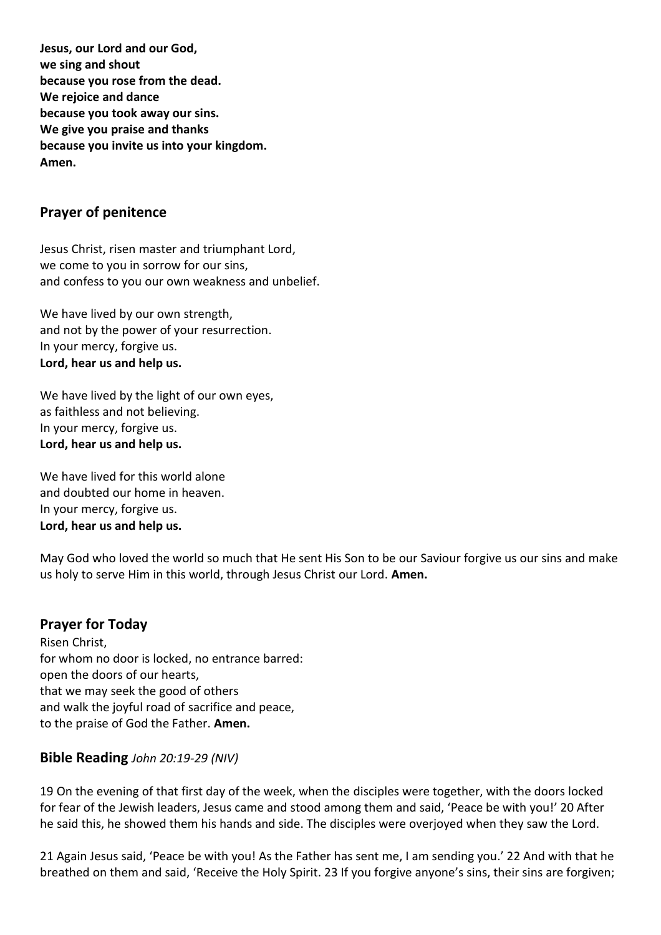**Jesus, our Lord and our God, we sing and shout because you rose from the dead. We rejoice and dance because you took away our sins. We give you praise and thanks because you invite us into your kingdom. Amen.**

### **Prayer of penitence**

Jesus Christ, risen master and triumphant Lord, we come to you in sorrow for our sins, and confess to you our own weakness and unbelief.

We have lived by our own strength. and not by the power of your resurrection. In your mercy, forgive us. **Lord, hear us and help us.**

We have lived by the light of our own eyes, as faithless and not believing. In your mercy, forgive us. **Lord, hear us and help us.**

We have lived for this world alone and doubted our home in heaven. In your mercy, forgive us. **Lord, hear us and help us.**

May God who loved the world so much that He sent His Son to be our Saviour forgive us our sins and make us holy to serve Him in this world, through Jesus Christ our Lord. **Amen.**

#### **Prayer for Today**

Risen Christ, for whom no door is locked, no entrance barred: open the doors of our hearts, that we may seek the good of others and walk the joyful road of sacrifice and peace, to the praise of God the Father. **Amen.**

#### **Bible Reading** *John 20:19-29 (NIV)*

19 On the evening of that first day of the week, when the disciples were together, with the doors locked for fear of the Jewish leaders, Jesus came and stood among them and said, 'Peace be with you!' 20 After he said this, he showed them his hands and side. The disciples were overjoyed when they saw the Lord.

21 Again Jesus said, 'Peace be with you! As the Father has sent me, I am sending you.' 22 And with that he breathed on them and said, 'Receive the Holy Spirit. 23 If you forgive anyone's sins, their sins are forgiven;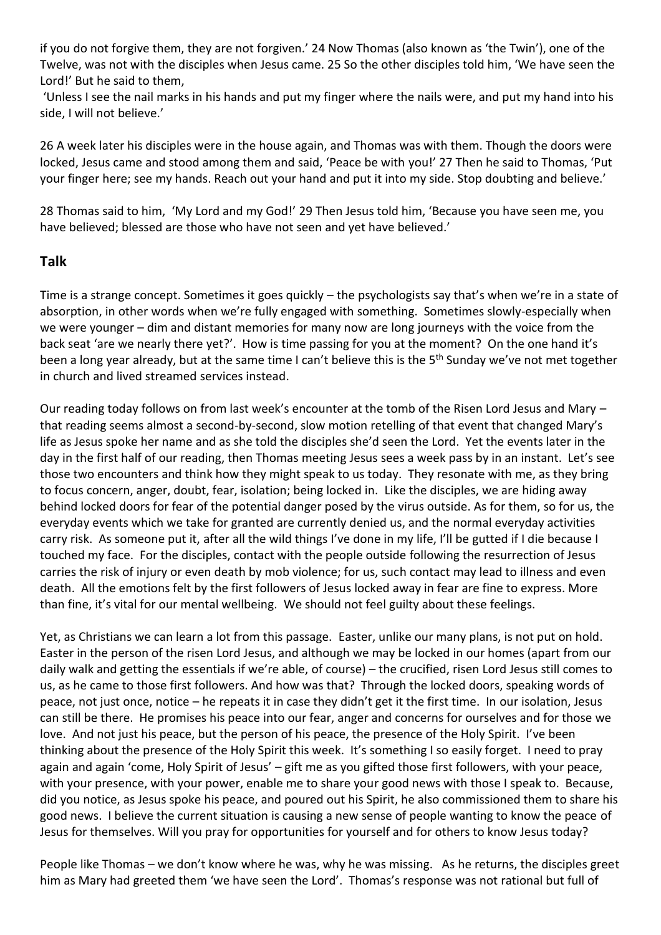if you do not forgive them, they are not forgiven.' 24 Now Thomas (also known as 'the Twin'), one of the Twelve, was not with the disciples when Jesus came. 25 So the other disciples told him, 'We have seen the Lord!' But he said to them.

'Unless I see the nail marks in his hands and put my finger where the nails were, and put my hand into his side, I will not believe.'

26 A week later his disciples were in the house again, and Thomas was with them. Though the doors were locked, Jesus came and stood among them and said, 'Peace be with you!' 27 Then he said to Thomas, 'Put your finger here; see my hands. Reach out your hand and put it into my side. Stop doubting and believe.'

28 Thomas said to him, 'My Lord and my God!' 29 Then Jesus told him, 'Because you have seen me, you have believed; blessed are those who have not seen and yet have believed.'

### **Talk**

Time is a strange concept. Sometimes it goes quickly – the psychologists say that's when we're in a state of absorption, in other words when we're fully engaged with something. Sometimes slowly-especially when we were younger – dim and distant memories for many now are long journeys with the voice from the back seat 'are we nearly there yet?'. How is time passing for you at the moment? On the one hand it's been a long year already, but at the same time I can't believe this is the 5<sup>th</sup> Sunday we've not met together in church and lived streamed services instead.

Our reading today follows on from last week's encounter at the tomb of the Risen Lord Jesus and Mary – that reading seems almost a second-by-second, slow motion retelling of that event that changed Mary's life as Jesus spoke her name and as she told the disciples she'd seen the Lord. Yet the events later in the day in the first half of our reading, then Thomas meeting Jesus sees a week pass by in an instant. Let's see those two encounters and think how they might speak to us today. They resonate with me, as they bring to focus concern, anger, doubt, fear, isolation; being locked in. Like the disciples, we are hiding away behind locked doors for fear of the potential danger posed by the virus outside. As for them, so for us, the everyday events which we take for granted are currently denied us, and the normal everyday activities carry risk. As someone put it, after all the wild things I've done in my life, I'll be gutted if I die because I touched my face. For the disciples, contact with the people outside following the resurrection of Jesus carries the risk of injury or even death by mob violence; for us, such contact may lead to illness and even death. All the emotions felt by the first followers of Jesus locked away in fear are fine to express. More than fine, it's vital for our mental wellbeing. We should not feel guilty about these feelings.

Yet, as Christians we can learn a lot from this passage. Easter, unlike our many plans, is not put on hold. Easter in the person of the risen Lord Jesus, and although we may be locked in our homes (apart from our daily walk and getting the essentials if we're able, of course) – the crucified, risen Lord Jesus still comes to us, as he came to those first followers. And how was that? Through the locked doors, speaking words of peace, not just once, notice – he repeats it in case they didn't get it the first time. In our isolation, Jesus can still be there. He promises his peace into our fear, anger and concerns for ourselves and for those we love. And not just his peace, but the person of his peace, the presence of the Holy Spirit. I've been thinking about the presence of the Holy Spirit this week. It's something I so easily forget. I need to pray again and again 'come, Holy Spirit of Jesus' – gift me as you gifted those first followers, with your peace, with your presence, with your power, enable me to share your good news with those I speak to. Because, did you notice, as Jesus spoke his peace, and poured out his Spirit, he also commissioned them to share his good news. I believe the current situation is causing a new sense of people wanting to know the peace of Jesus for themselves. Will you pray for opportunities for yourself and for others to know Jesus today?

People like Thomas – we don't know where he was, why he was missing. As he returns, the disciples greet him as Mary had greeted them 'we have seen the Lord'. Thomas's response was not rational but full of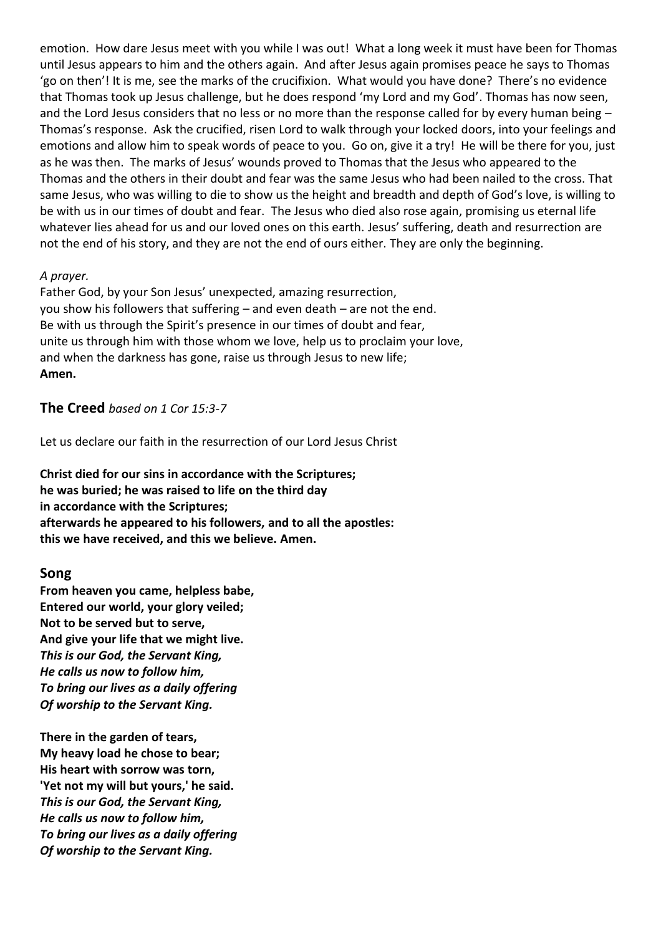emotion. How dare Jesus meet with you while I was out! What a long week it must have been for Thomas until Jesus appears to him and the others again. And after Jesus again promises peace he says to Thomas 'go on then'! It is me, see the marks of the crucifixion. What would you have done? There's no evidence that Thomas took up Jesus challenge, but he does respond 'my Lord and my God'. Thomas has now seen, and the Lord Jesus considers that no less or no more than the response called for by every human being -Thomas's response. Ask the crucified, risen Lord to walk through your locked doors, into your feelings and emotions and allow him to speak words of peace to you. Go on, give it a try! He will be there for you, just as he was then. The marks of Jesus' wounds proved to Thomas that the Jesus who appeared to the Thomas and the others in their doubt and fear was the same Jesus who had been nailed to the cross. That same Jesus, who was willing to die to show us the height and breadth and depth of God's love, is willing to be with us in our times of doubt and fear. The Jesus who died also rose again, promising us eternal life whatever lies ahead for us and our loved ones on this earth. Jesus' suffering, death and resurrection are not the end of his story, and they are not the end of ours either. They are only the beginning.

#### *A prayer.*

Father God, by your Son Jesus' unexpected, amazing resurrection, you show his followers that suffering – and even death – are not the end. Be with us through the Spirit's presence in our times of doubt and fear, unite us through him with those whom we love, help us to proclaim your love, and when the darkness has gone, raise us through Jesus to new life; **Amen.**

#### **The Creed** *based on 1 Cor 15:3-7*

Let us declare our faith in the resurrection of our Lord Jesus Christ

**Christ died for our sins in accordance with the Scriptures; he was buried; he was raised to life on the third day in accordance with the Scriptures; afterwards he appeared to his followers, and to all the apostles: this we have received, and this we believe. Amen.**

### **Song**

**From heaven you came, helpless babe, Entered our world, your glory veiled; Not to be served but to serve, And give your life that we might live.** *This is our God, the Servant King, He calls us now to follow him, To bring our lives as a daily offering Of worship to the Servant King.*

**There in the garden of tears, My heavy load he chose to bear; His heart with sorrow was torn, 'Yet not my will but yours,' he said.** *This is our God, the Servant King, He calls us now to follow him, To bring our lives as a daily offering Of worship to the Servant King.*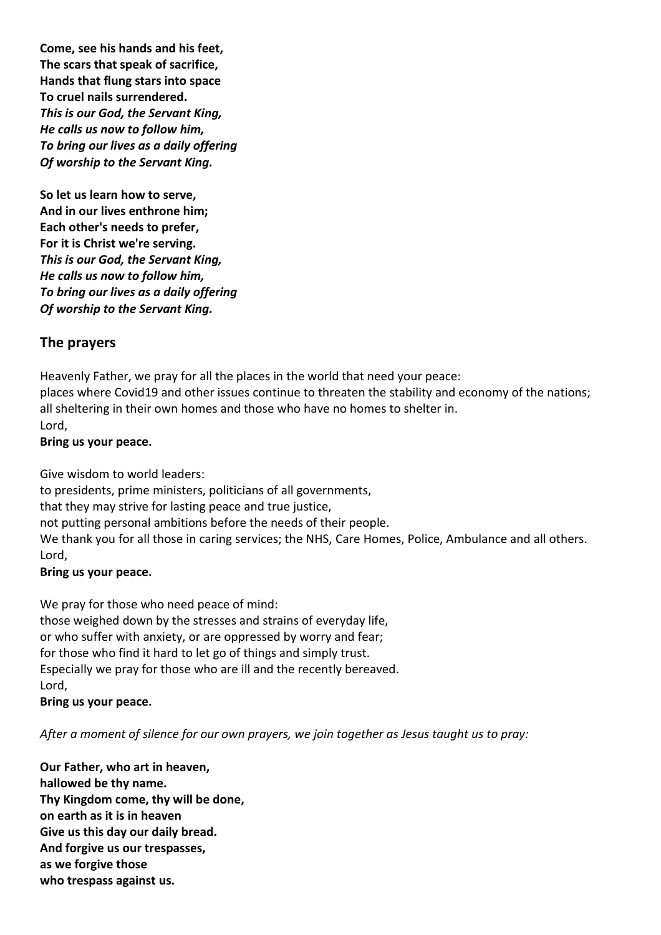**Come, see his hands and his feet, The scars that speak of sacrifice, Hands that flung stars into space To cruel nails surrendered.** *This is our God, the Servant King, He calls us now to follow him, To bring our lives as a daily offering Of worship to the Servant King.*

**So let us learn how to serve, And in our lives enthrone him; Each other's needs to prefer, For it is Christ we're serving.** *This is our God, the Servant King, He calls us now to follow him, To bring our lives as a daily offering Of worship to the Servant King.*

### **The prayers**

Heavenly Father, we pray for all the places in the world that need your peace:

places where Covid19 and other issues continue to threaten the stability and economy of the nations; all sheltering in their own homes and those who have no homes to shelter in.

Lord,

#### **Bring us your peace.**

Give wisdom to world leaders:

to presidents, prime ministers, politicians of all governments,

that they may strive for lasting peace and true justice,

not putting personal ambitions before the needs of their people.

We thank you for all those in caring services; the NHS, Care Homes, Police, Ambulance and all others. Lord,

#### **Bring us your peace.**

We pray for those who need peace of mind:

those weighed down by the stresses and strains of everyday life, or who suffer with anxiety, or are oppressed by worry and fear; for those who find it hard to let go of things and simply trust. Especially we pray for those who are ill and the recently bereaved. Lord,

**Bring us your peace.**

*After a moment of silence for our own prayers, we join together as Jesus taught us to pray:*

**Our Father, who art in heaven, hallowed be thy name. Thy Kingdom come, thy will be done, on earth as it is in heaven Give us this day our daily bread. And forgive us our trespasses, as we forgive those who trespass against us.**